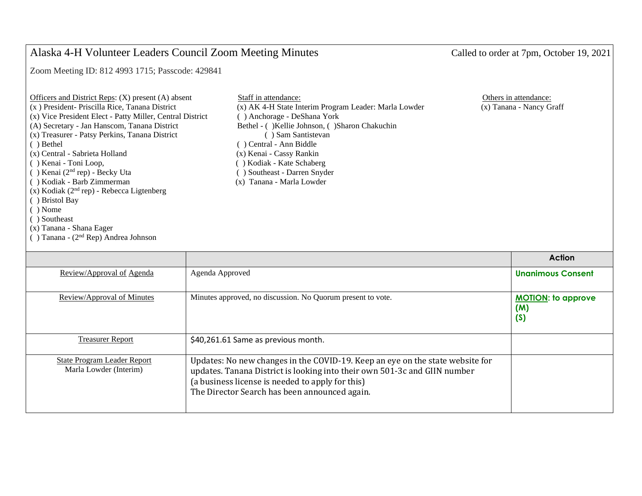## Alaska 4-H Volunteer Leaders Council Zoom Meeting Minutes Called to order at 7pm, October 19, 2021

Zoom Meeting ID: 812 4993 1715; Passcode: 429841

| Officers and District Reps: $(X)$ present $(A)$ absent    | Staff in attendance:           |
|-----------------------------------------------------------|--------------------------------|
| (x) President- Priscilla Rice, Tanana District            | (x) AK 4-H State Interim Progr |
| (x) Vice President Elect - Patty Miller, Central District | () Anchorage - DeShana York    |
| (A) Secretary - Jan Hanscom, Tanana District              | Bethel - ()Kellie Johnson, ()  |
| (x) Treasurer - Patsy Perkins, Tanana District            | () Sam Santistevan             |
| ( ) Bethel                                                | () Central - Ann Biddle        |
| (x) Central - Sabrieta Holland                            | (x) Kenai - Cassy Rankin       |
| () Kenai - Toni Loop,                                     | () Kodiak - Kate Schaberg      |
| $( )$ Kenai $(2nd$ rep) - Becky Uta                       | () Southeast - Darren Snyder   |
| () Kodiak - Barb Zimmerman                                | (x) Tanana - Marla Lowder      |
| $(x)$ Kodiak (2 <sup>nd</sup> rep) - Rebecca Ligtenberg   |                                |
| () Bristol Bay                                            |                                |
| $( )$ Nome                                                |                                |
| () Southeast                                              |                                |
| (x) Tanana - Shana Eager                                  |                                |

( ) Tanana - (2 nd Rep) Andrea Johnson

| Officers and District Reps: $(X)$ present $(A)$ absent    | Staff in attendance:                                  | Others in attendance:    |
|-----------------------------------------------------------|-------------------------------------------------------|--------------------------|
| (x) President- Priscilla Rice, Tanana District            | (x) AK 4-H State Interim Program Leader: Marla Lowder | (x) Tanana - Nancy Graff |
| (x) Vice President Elect - Patty Miller, Central District | () Anchorage - DeShana York                           |                          |
| (A) Secretary - Jan Hanscom, Tanana District              | Bethel - () Kellie Johnson, () Sharon Chakuchin       |                          |
| (x) Treasurer - Patsy Perkins, Tanana District            | Sam Santistevan                                       |                          |
| () Bethel                                                 | () Central - Ann Biddle                               |                          |
| (x) Central - Sabrieta Holland                            | (x) Kenai - Cassy Rankin                              |                          |
| () Kenai - Toni Loop,                                     | () Kodiak - Kate Schaberg                             |                          |
| $( )$ Kenai $(2nd$ rep) - Becky Uta                       | (b) Southeast - Darren Snyder                         |                          |
| () Kodiak - Barb Zimmerman                                | (x) Tanana - Marla Lowder                             |                          |

|                                                              |                                                                                                                                                                                                                                                                 | <b>Action</b>                           |
|--------------------------------------------------------------|-----------------------------------------------------------------------------------------------------------------------------------------------------------------------------------------------------------------------------------------------------------------|-----------------------------------------|
| Review/Approval of Agenda                                    | Agenda Approved                                                                                                                                                                                                                                                 | <b>Unanimous Consent</b>                |
| Review/Approval of Minutes                                   | Minutes approved, no discussion. No Quorum present to vote.                                                                                                                                                                                                     | <b>MOTION:</b> to approve<br>(M)<br>(S) |
| <b>Treasurer Report</b>                                      | \$40,261.61 Same as previous month.                                                                                                                                                                                                                             |                                         |
| <b>State Program Leader Report</b><br>Marla Lowder (Interim) | Updates: No new changes in the COVID-19. Keep an eye on the state website for<br>updates. Tanana District is looking into their own 501-3c and GIIN number<br>(a business license is needed to apply for this)<br>The Director Search has been announced again. |                                         |